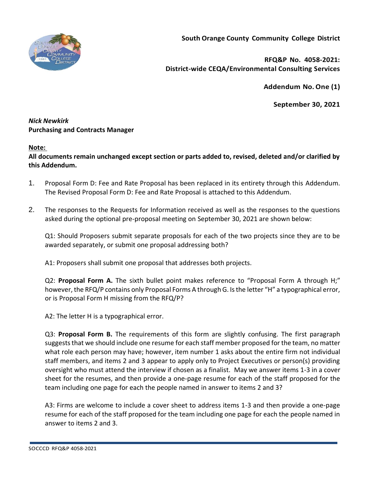

**South Orange County Community College District**

**RFQ&P No. 4058-2021: District-wide CEQA/Environmental Consulting Services**

**Addendum No.One (1)**

**September 30, 2021**

## *Nick Newkirk*  **Purchasing and Contracts Manager**

## **Note:**

**All documents remain unchanged except section or parts added to, revised, deleted and/or clarified by this Addendum.**

- 1. Proposal Form D: Fee and Rate Proposal has been replaced in its entirety through this Addendum. The Revised Proposal Form D: Fee and Rate Proposal is attached to this Addendum.
- 2. The responses to the Requests for Information received as well as the responses to the questions asked during the optional pre-proposal meeting on September 30, 2021 are shown below:

Q1: Should Proposers submit separate proposals for each of the two projects since they are to be awarded separately, or submit one proposal addressing both?

A1: Proposers shall submit one proposal that addresses both projects.

Q2: **Proposal Form A.** The sixth bullet point makes reference to "Proposal Form A through H;" however, the RFQ/P contains only Proposal Forms A through G. Is the letter "H" a typographical error, or is Proposal Form H missing from the RFQ/P?

A2: The letter H is a typographical error.

Q3: **Proposal Form B.** The requirements of this form are slightly confusing. The first paragraph suggests that we should include one resume for each staff member proposed for the team, no matter what role each person may have; however, item number 1 asks about the entire firm not individual staff members, and items 2 and 3 appear to apply only to Project Executives or person(s) providing oversight who must attend the interview if chosen as a finalist. May we answer items 1-3 in a cover sheet for the resumes, and then provide a one-page resume for each of the staff proposed for the team including one page for each the people named in answer to items 2 and 3?

A3: Firms are welcome to include a cover sheet to address items 1-3 and then provide a one-page resume for each of the staff proposed for the team including one page for each the people named in answer to items 2 and 3.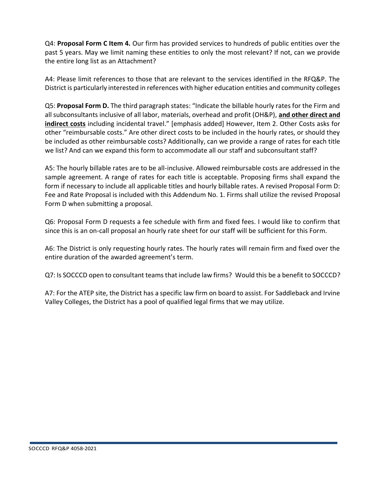Q4: **Proposal Form C Item 4.** Our firm has provided services to hundreds of public entities over the past 5 years. May we limit naming these entities to only the most relevant? If not, can we provide the entire long list as an Attachment?

A4: Please limit references to those that are relevant to the services identified in the RFQ&P. The District is particularly interested in references with higher education entities and community colleges

Q5: **Proposal Form D.** The third paragraph states: "Indicate the billable hourly rates for the Firm and all subconsultants inclusive of all labor, materials, overhead and profit (OH&P), **and other direct and indirect costs** including incidental travel." [emphasis added] However, Item 2. Other Costs asks for other "reimbursable costs." Are other direct costs to be included in the hourly rates, or should they be included as other reimbursable costs? Additionally, can we provide a range of rates for each title we list? And can we expand this form to accommodate all our staff and subconsultant staff?

A5: The hourly billable rates are to be all-inclusive. Allowed reimbursable costs are addressed in the sample agreement. A range of rates for each title is acceptable. Proposing firms shall expand the form if necessary to include all applicable titles and hourly billable rates. A revised Proposal Form D: Fee and Rate Proposal is included with this Addendum No. 1. Firms shall utilize the revised Proposal Form D when submitting a proposal.

Q6: Proposal Form D requests a fee schedule with firm and fixed fees. I would like to confirm that since this is an on-call proposal an hourly rate sheet for our staff will be sufficient for this Form.

A6: The District is only requesting hourly rates. The hourly rates will remain firm and fixed over the entire duration of the awarded agreement's term.

Q7: Is SOCCCD open to consultant teams that include law firms? Would this be a benefit to SOCCCD?

A7: For the ATEP site, the District has a specific law firm on board to assist. For Saddleback and Irvine Valley Colleges, the District has a pool of qualified legal firms that we may utilize.